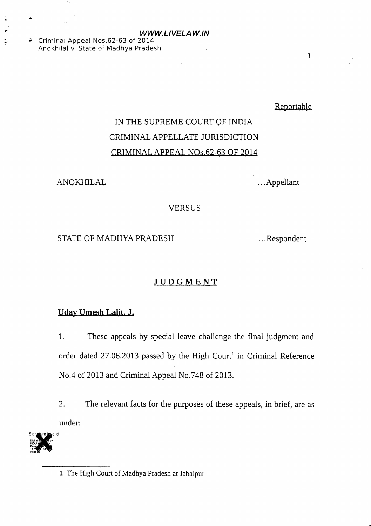WWW.LIVELAW.IN & Criminal Appeal Nos.62-63 of 2014 Anokhilal v. State of Madhya Pradesh

!

,-

i

Reportable

1

# IN THE SUPREME COURT QF INDIA CRIMINAL APPELLATE JURISDICTION CRIMINAL APPEAL NOs.62-63 OF 2014

ANOKHILAL Appellant

### VERSUS

## STATE OF MADHYA PRADESH Respondent

## **JUDGMENT**

# Uday Umesh Lalit, J.

1. These appeals by special leave challenge the final judgment and order dated 27.06.2013 passed by the High Court<sup>1</sup> in Criminal Reference No.4 of 2013 and Criminal Appeal No.748 of 2013.

2. The relevant facts for the purposes of these appeals, in brief, are as under:



<sup>1</sup> The High Court of Madhya Pradesh at Jabalpur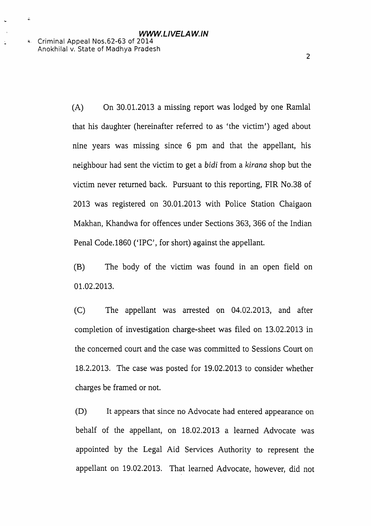$\ddot{\bullet}$ 

Ł.

(A) On 30.01.2013 a missing report was lodged by one Ramlal that his daughter (hereinafter referred to as 'the victim') aged about nine years was missing since 6 pm and that the appellant, his neighbour had sent the victim to get a bidi from a kirana shop but the victim never returned back. Pursuant to this reporting, FIR No.38 of 2013 was registered on 30.01.2013 with Police Station Chaigaon Makhan, Khandwa for offences under Sections 363, 366 of the Indian Penal Code.1860 ('IPC', for short) against the appellant.

(B) The body of the victim was found in an open field on 01.02.2013.

(C) The appellant was arrested on 04.02.2013, and after completion of investigation charge-sheet was filed on 13.02.2013 in the concemed court and the case was committed to Sessions Court on 18.2.2013. The case was posted for 19,02.2013 to consider whether charges be framed or not.

(D) It appears that since no Advocate had entered appearance on behalf of the appellant, on 18.02.2013 a learned Advocate was appointed by the Legal Aid Services Authority to represent the appellant on 19.02.2013. That learned Advocate, however, did not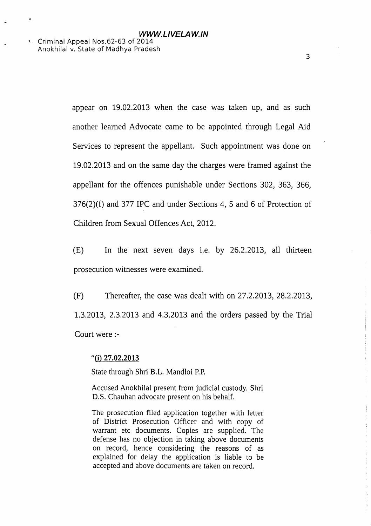$\overline{z}$ 

appear on 19.02.2013 when the case was taken up, and as such another learned Advocate came to be appointed through Legal Aid Services to represent the appellant. Such appointment was done on 19.02.2013 and on the same day the charges were framed against the appellant for the offences punishable under Sections 302, 363, 366,  $376(2)(f)$  and  $377$  IPC and under Sections 4, 5 and 6 of Protection of Children from Sexual Offences Act, 2012.

(E) In the next seven days i.e. by 26.2.2013, all thirteen prosecution witnesses were examined.

 $(F)$  Thereafter, the case was dealt with on 27.2.2013, 28.2.2013, 1.3.2013, 2.3.2013 and 4.3.2013 and the orders passed by the Trial Court were :-

#### $"$ (i) 27.02.2013

State through Shri B.L. Mandloi P.P

Accused Anokhilal present from judicial custody. Shri D.S. Chauhan advocate present on his behalf.

The prosecution filed application together with letter of District Prosecution Officer and with copy of warrant etc documents. Copies are supplied. The defense has no objection in taking above documents on record, hence considering the reasons of as explained for delay the application is liable to be accepted and above documents are taken on record.

 $\frac{1}{4}$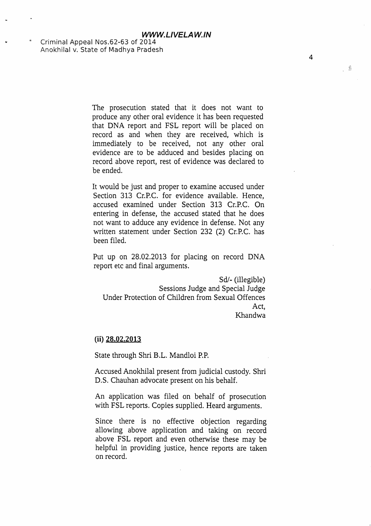> The prosecution stated that it does not want to produce any other oral evidence it has been requested that DNA report and FSL report will be placed on record as and when they are received, which is immediately to be received, not any other oral evidence are to be adduced and besides placing on record above report, rest of evidence was declared to be ended.

> It would be just and proper to examine accused under Section 313 Cr.P.C. for evidence available. Hence, accused examined under Section 313 Cr.P.C. On entering in defense, the accused stated that he does not want to adduce any evidence in defense. Not any written statement under Section 232 (2) Cr.P.C. has been filed.

> Put up on 28.02.2013 for placing on record DNA report etc and final arguments.

Sd/- (illegible) Sessions Judge and Special Judge Under Protection of Children from Sexual Offences Act, Khandwa

#### (ii) 28.02.2013

State through Shri B.L. Mandloi P.P.

Accused Anokhilal present from judicial custody. Shri D.S. Chauhan advocate present on his behalf.

An application was filed on behalf of prosecution with FSL reports. Copies supplied. Heard arguments.

Since there is no effective objection regarding allowing above application and taking on record above FSL report and even otherwise these may be helpful in providing justice, hence reports are taken on record.

-:,"-]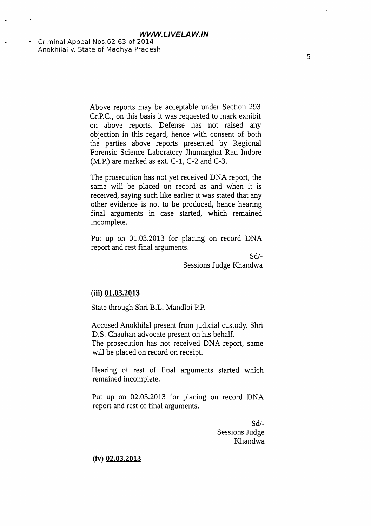> Above reports may be acceptable under Section 293 Cr.P.C,, on this basis it was requested to mark exhibit on above reports. Defense has not raised any objection in this regard, hence with consent of both the parties above reports presented by Regional Forensic Science Laboratory Jhumarghat Rau Indore (M.P.) are marked as ext. C-1, C-2 and C-3.

> The prosecution has not yet received DNA report, the same will be placed on record as and when it is received, saying such like earlier it was stated that any other evidence is not to be produced, hence hearing final arguments in case started, which remained incomplete.

> Put up on 01.03.2013 for placing on record DNA report and rest final arguments.

> > sd/- Sessions Judge Khandwa

#### (iii) 01.03.2013

State through Shri B.L. Mandloi P.P.

Accused Anokhilal present from judicial custody. Shri D.S. Chauhan advocate present on his behalf.

The prosecution has not received DNA report, same wiII be placed on record on receipt.

Hearing of rest of final arguments started which remained incomplete.

Put up on 02.03.2013 for placing on record DNA report and rest of final arguments.

> sd/- Sessions Judge Khandwa

 $(iv)$  02.03.2013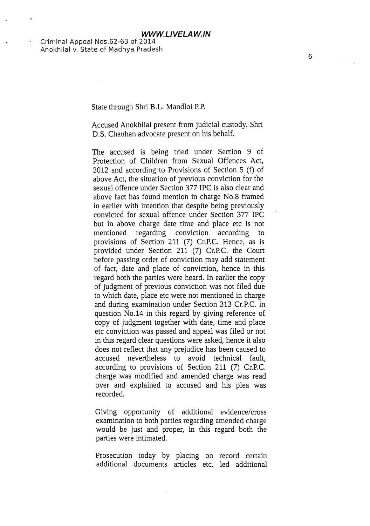State through Shri B.L. Mandloi P.P.

Accused Anokhilal present from judicial custody. Shri D.S. Chauhan advocate present on his behalf.

The accused is being tried under Section 9 of Protection of Children from Sexual Offences Act, 2012 and according to Provisions of Section 5 (f) of above Act, the situation of previous conviction for the sexual offence under Section 377IPC is also clear and above fact has found mention in charge No.8 framed in earlier with intention that despite being previously convicted for sexual offence under Section 377 IPC but in above charge date time and place etc is not mentioned regarding conviction according to provisions of Section 211 (7) Cr.P.C. Hence, as is provided under Section 211 (7) Cr.P.C. the Court before passing order of conviction may add statement of fact, date and place of conviction, hence in this regard both the parties were heard. In earlier the copy of judgment of previous conviction was not filed due to which date, place etc were not mentioned in charge and during examination under Section 313 Cr.P.C. in question No.14 in this regard by giving reference of copy of judgment together with date, time and place etc conviction was passed and appeal was filed or not in this regard clear questions were asked, hence it also does not reflect that any prejudice has been caused to accused nevertheless to avoid technical fault, according to provisions of Section 211 (7) Cr.P.C. charge was modified and amended charge was read over and explained to accused and his plea was recorded.

Giving opportunity of additional evidence/cross examination to both parties regarding amended charge would be just and proper, in this regard both the parties were intimated.

Prosecution today by placing on record certain additional documents articles etc. led additional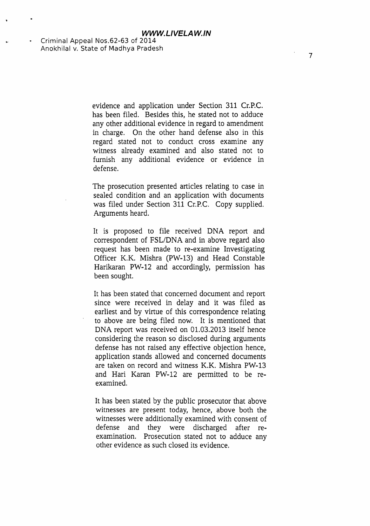> evidence and application under Section 311 Cr.P.C. has been filed. Besides this, he stated not to adduce any other additional evidence in regard to amendment in charge. On the other hand defense also in this regard stated not to conduct cross examine any witness already examined and also stated not to furnish any additional evidence or evidence in defense.

> The prosecution presented articles relating to case in sealed condition and an application with documents was filed under Section 311 Cr.P.C. Copy supplied. Arguments heard.

> It is proposed to file received DNA report and correspondent of FSL/DNA and in above regard also request has been made to re-examine Investigating Officer K.K, Mishra (PW-L3) and Head Constable Harikaran PW-12 and accordingly, permission has been sought.

> It has been stated that concerned document and report since were received in delay and it was filed as earliest and by virtue of this correspondence relating to above are being filed now. It is mentioned that DNA report was received on 01.03.2013 itself hence considering the reason so disclosed during arguments defense has not raised any effective objection hence, application stands allowed and concerned documents are taken on record and witness K.K. Mishra PW-13 and Hari Karan PW-12 are permitted to be reexamined.

> It has been stated by the public prosecutor that above witnesses are present today, hence, above both the witnesses were additionally examined with consent of defense and they were discharged after reexamination. Prosecution stated not to adduce any other evidence as such closed its evidence.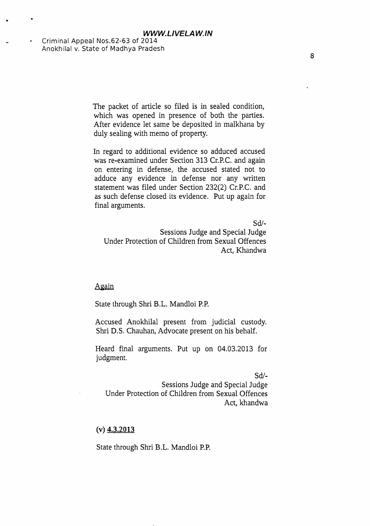WWW.LIVELAW.IN Criminal Appeal Nos.62-63 of 20L4 Anokhilal v. State of Madhya Pradesh

> The packet of article so filed is in sealed condition, which was opened in presence of both the parties. After evidence let same be deposited in malkhana by duly sealing with memo of property.

> In regard to additional evidence so adduced accused was re-examined under Section 313 Cr.P.C. and again on entering in defense, the accused stated not to adduce any evidence in defense nor any written statement was filed under Section 232(2) Cr.P.C. and as such defense closed its evidence. Put up again for final arguments.

> > sd/-

Sessions Judge and Special Judge Under Protection of Children from Sexual Offences Act, Khandwa

#### Again

State through Shri B.L. Mandloi P.P.

Accused Anokhilal present from judicial custody. Shri D.S. Chauhan, Advocate present on his behalf.

Heard final arguments. Put up on 04.03.2013 for judgment.

sd/-

Sessions Judge and Special Judge Under Protection of Children from Sexual Offences Act, khandwa

#### $(v)$  4.3.2013

State through Shri B.L. Mandloi P.P.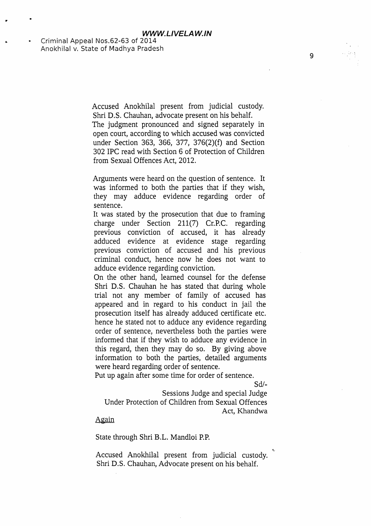t

&

Accused Anokhilal present from judicial custody. Shri D.S. Chauhan, advocate present on his behalf.

The judgment pronounced and signed separately in open court, according to which accused was convicted under Section 363, 366, 377, 376(2)(f) and Section 302 IPC read with Section 6 of Protection of Children from Sexual Offences Act, 2012.

Arguments were heard on the question of sentence. It was informed to both the parties that if they wish, they may adduce evidence regarding order of sentence.

It was stated by the prosecution that due to framing charge under Section 211(7) Cr.P.C. regarding previous conviction of accused, it has already adduced evidence at evidence stage regarding previous conviction of accused and his previous criminal conduct, hence now he does not want to adduce evidence regarding conviction.

On the other hand, learned counsel for the defense Shri D.S. Chauhan he has stated that during whole trial not any member of family of accused has appeared and in regard to his conduct in jail the prosecution itself has already adduced certificate etc. hence he stated not to adduce any evidence regarding order of sentence, nevertheless both the parties were informed that if they wish to adduce any evidence in this regard, then they may do so. By giving above information to both the parties, detailed arguments were heard regarding order of sentence.

Put up again after some time for order of sentence.

sd/-

Sessions Judge and special Judge Under Protection of Children from Sexual Offences Act, Khandwa

#### **Again**

State through Shri B.L. Mandloi P.P.

Accused Anokhilal present from judicial custody. Shri D.S. Chauhan, Advocate present on his behalf.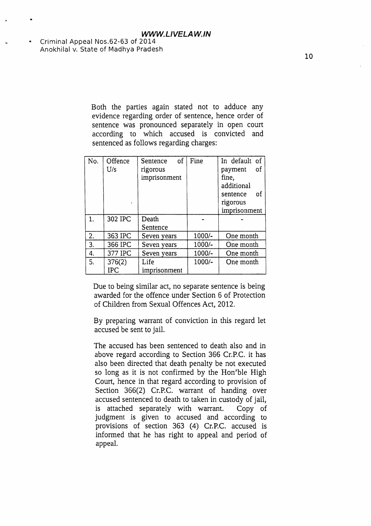> Both the parties again stated not to adduce any evidence regarding order of sentence, hence order of sentence was pronounced separately in open court according to which accused is convicted and sentenced as follows regarding charges:

| No. | Offence<br>U/s | of<br>Sentence<br>rigorous<br>imprisonment | Fine   | In default of<br>οf<br>payment<br>fine,<br>additional<br>οf<br>sentence<br>rigorous<br>imprisonment |
|-----|----------------|--------------------------------------------|--------|-----------------------------------------------------------------------------------------------------|
| 1.  | 302 IPC        | Death<br>Sentence                          |        |                                                                                                     |
| 2.  | 363 IPC        | Seven years                                | 1000/- | One month                                                                                           |
| 3.  | 366 IPC        | Seven years                                | 1000/- | One month                                                                                           |
| 4.  | 377 IPC        | Seven years                                | 1000/- | One month                                                                                           |
| 5.  | 376(2)<br>IPC  | Life<br>imprisonment                       | 1000/- | One month                                                                                           |

Due to being similar act, no separate sentence is being awarded for the offence under Section 6 of Protection of Children from Sexual Qffences Act, 2012.

By preparing warrant of conviction in this regard let accused be sent to jail.

The accused has been sentenced to death also and in above regard according to Section 366 Cr.P.C, it has also been directed that death penalty be not executed so long as it is not confirmed by the Hon'ble High Court, hence in that regard according to provision of Section 366(2) Cr.P.C. warrant of handing over accused sentenced to death to taken in custody of jail, is attached separately with warrant. Copy of judgment is given to accused and according to provisions of section 363 (4) Cr.P.C. accused is informed that he has right to appeal and period of appeal.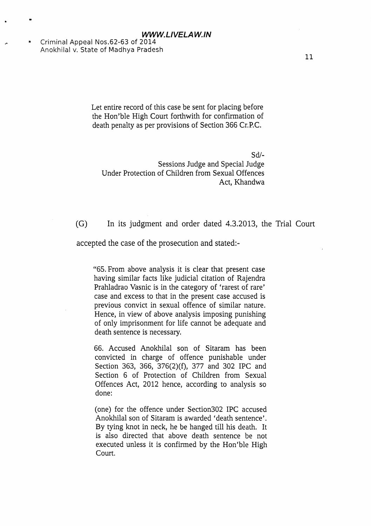a

I

Let entire record of this case be sent for placing before the Hon'ble High Court forthwith for confirmation of death penalty as per provisions of Section 366 Cr.P.C.

sd/- Sessions Judge and Special Judge Under Protection of Children from Sexual Offences Act, Khandwa

(G) In its judgment and order dated 4.3.2013, the Trial Court

accepted the case of the prosecution and stated:-

"65. From above analysis it is clear that present case having similar facts like judicial citation of Rajendra Prahladrao Vasnic is in the category of 'rarest of rare' case and excess to that in the present case accused is previous convict in sexual offence of similar nature. Hence, in view of above analysis imposing punishing of only imprisonment for life cannot be adequate and death sentence is necessary.

66. Accused Anokhilal son of Sitaram has been convicted in charge of offence punishable under Section 363, 366, 376(2)(f), 377 and 302 IPC and Section 6 of Protection of Children from Sexual Offences Act, 2012 hence, according to analysis so done:

(one) for the offence under Section302 IPC accused Anokhilal son of Sitaram is awarded 'death sentence'. By tying knot in neck, he be hanged till his dearh. It is also directed that above death sentence be not executed unless it is confirmed by the Hon'ble High Court.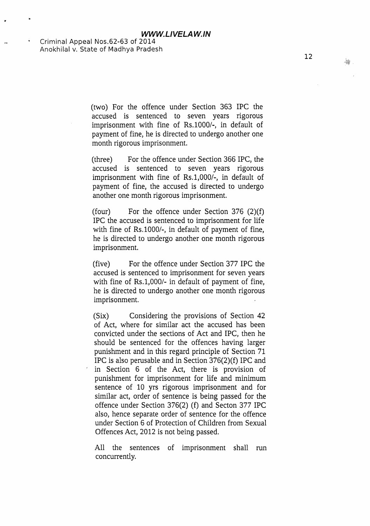(two) For the offence under Section 363 IPC the accused is sentenced to seven years rigorous imprisonment with fine of Rs.1000/-, in default of payment of fine, he is directed to undergo another one month rigorous imprisonment.

(three) For the offence under Section 366 IPC, the accused is sentenced to seven years rigorous imprisonment with fine of Rs.1,000/-, in default of payment of fine, the accused is directed to undergo another one month rigorous imprisonment.

(four) For the offence under Section 376  $(2)(f)$ IPC the accused is sentenced to imprisonment for life with fine of Rs.1000/-, in default of payment of fine, he is directed to undergo another one month rigorous imprisonment.

(five) For the offence under Section 377 IPC the accused is sentenced to imprisonment for seven years with fine of Rs.1,000/- in default of payment of fine, he is directed to undergo another one month rigorous imprisonment.

(Six) Considering the provisions of Section <sup>42</sup> of Act, where for similar act the accused has been convicted under the sections of Act and IPC, then he should be sentenced for the offences having larger punishment and in this regard principle of Section 7L IPC is also perusable and in Section  $376(2)(f)$  IPC and in Section 6 of the Act, there is provision of punishment for imprisonment for life and minimum sentence of 10 yrs rigorous imprisonment and for similar act, order of sentence is being passed for the offence under Section 376(2) (f) and Secton 377 IPC also, hence separate order of sentence for the offence under Section 6 of Protection of Children from Sexual Offences Act, 2012 is not being passed.

All the sentences of imprisonment shall run concurrently.

戀。